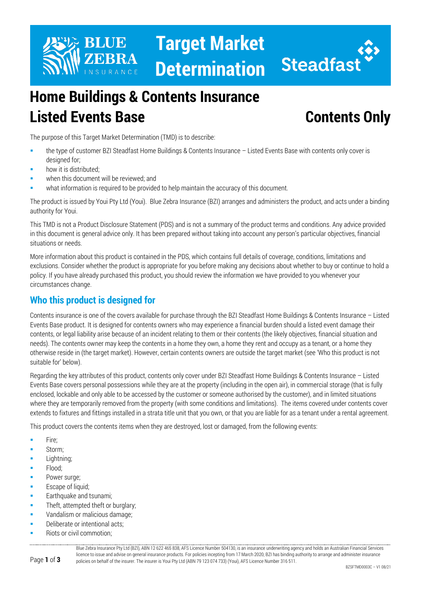

**Target Market Determination**



# **Home Buildings & Contents Insurance Listed Events Base Contents Only**

The purpose of this Target Market Determination (TMD) is to describe:

- the type of customer BZI Steadfast Home Buildings & Contents Insurance Listed Events Base with contents only cover is designed for;
- how it is distributed;
- when this document will be reviewed; and
- what information is required to be provided to help maintain the accuracy of this document.

The product is issued by Youi Pty Ltd (Youi). Blue Zebra Insurance (BZI) arranges and administers the product, and acts under a binding authority for Youi.

This TMD is not a Product Disclosure Statement (PDS) and is not a summary of the product terms and conditions. Any advice provided in this document is general advice only. It has been prepared without taking into account any person's particular objectives, financial situations or needs.

More information about this product is contained in the PDS, which contains full details of coverage, conditions, limitations and exclusions. Consider whether the product is appropriate for you before making any decisions about whether to buy or continue to hold a policy. If you have already purchased this product, you should review the information we have provided to you whenever your circumstances change.

### **Who this product is designed for**

Contents insurance is one of the covers available for purchase through the BZI Steadfast Home Buildings & Contents Insurance – Listed Events Base product. It is designed for contents owners who may experience a financial burden should a listed event damage their contents, or legal liability arise because of an incident relating to them or their contents (the likely objectives, financial situation and needs). The contents owner may keep the contents in a home they own, a home they rent and occupy as a tenant, or a home they otherwise reside in (the target market). However, certain contents owners are outside the target market (see 'Who this product is not suitable for' below).

Regarding the key attributes of this product, contents only cover under BZI Steadfast Home Buildings & Contents Insurance – Listed Events Base covers personal possessions while they are at the property (including in the open air), in commercial storage (that is fully enclosed, lockable and only able to be accessed by the customer or someone authorised by the customer), and in limited situations where they are temporarily removed from the property (with some conditions and limitations). The items covered under contents cover extends to fixtures and fittings installed in a strata title unit that you own, or that you are liable for as a tenant under a rental agreement.

This product covers the contents items when they are destroyed, lost or damaged, from the following events:

- **Fire:**
- **Storm**;
- Lightning;
- Flood;
- Power surge;
- Escape of liquid;
- Earthquake and tsunami;
- **Theft, attempted theft or burglary;**
- Vandalism or malicious damage;
- Deliberate or intentional acts;
- Riots or civil commotion;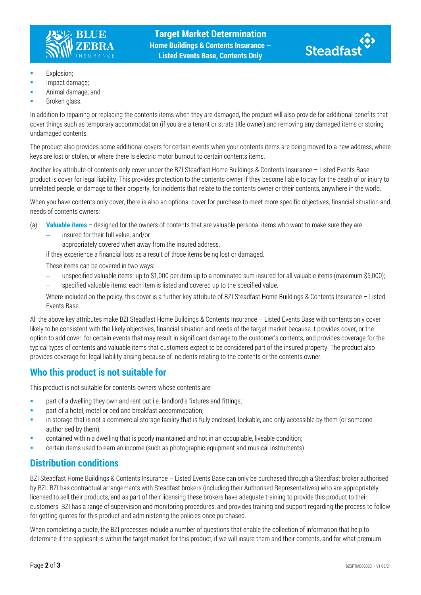



- **Explosion;**
- Impact damage;
- Animal damage; and
- Broken glass.

In addition to repairing or replacing the contents items when they are damaged, the product will also provide for additional benefits that cover things such as temporary accommodation (if you are a tenant or strata title owner) and removing any damaged items or storing undamaged contents.

The product also provides some additional covers for certain events when your contents items are being moved to a new address, where keys are lost or stolen, or where there is electric motor burnout to certain contents items.

Another key attribute of contents only cover under the BZI Steadfast Home Buildings & Contents Insurance – Listed Events Base product is cover for legal liability. This provides protection to the contents owner if they become liable to pay for the death of or injury to unrelated people, or damage to their property, for incidents that relate to the contents owner or their contents, anywhere in the world.

When you have contents only cover, there is also an optional cover for purchase to meet more specific objectives, financial situation and needs of contents owners:

- (a) **Valuable items** designed for the owners of contents that are valuable personal items who want to make sure they are:
	- − insured for their full value, and/or
	- appropriately covered when away from the insured address,

if they experience a financial loss as a result of those items being lost or damaged.

These items can be covered in two ways:

− unspecified valuable items: up to \$1,000 per item up to a nominated sum insured for all valuable items (maximum \$5,000); − specified valuable items: each item is listed and covered up to the specified value.

Where included on the policy, this cover is a further key attribute of BZI Steadfast Home Buildings & Contents Insurance – Listed Events Base.

All the above key attributes make BZI Steadfast Home Buildings & Contents Insurance – Listed Events Base with contents only cover likely to be consistent with the likely objectives, financial situation and needs of the target market because it provides cover, or the option to add cover, for certain events that may result in significant damage to the customer's contents, and provides coverage for the typical types of contents and valuable items that customers expect to be considered part of the insured property. The product also provides coverage for legal liability arising because of incidents relating to the contents or the contents owner.

#### **Who this product is not suitable for**

This product is not suitable for contents owners whose contents are:

- **EXECT** part of a dwelling they own and rent out i.e. landlord's fixtures and fittings;
- part of a hotel, motel or bed and breakfast accommodation;
- **•** in storage that is not a commercial storage facility that is fully enclosed, lockable, and only accessible by them (or someone authorised by them);
- contained within a dwelling that is poorly maintained and not in an occupiable, liveable condition;
- certain items used to earn an income (such as photographic equipment and musical instruments).

#### **Distribution conditions**

BZI Steadfast Home Buildings & Contents Insurance – Listed Events Base can only be purchased through a Steadfast broker authorised by BZI. BZI has contractual arrangements with Steadfast brokers (including their Authorised Representatives) who are appropriately licensed to sell their products, and as part of their licensing these brokers have adequate training to provide this product to their customers. BZI has a range of supervision and monitoring procedures, and provides training and support regarding the process to follow for getting quotes for this product and administering the policies once purchased.

When completing a quote, the BZI processes include a number of questions that enable the collection of information that help to determine if the applicant is within the target market for this product, if we will insure them and their contents, and for what premium